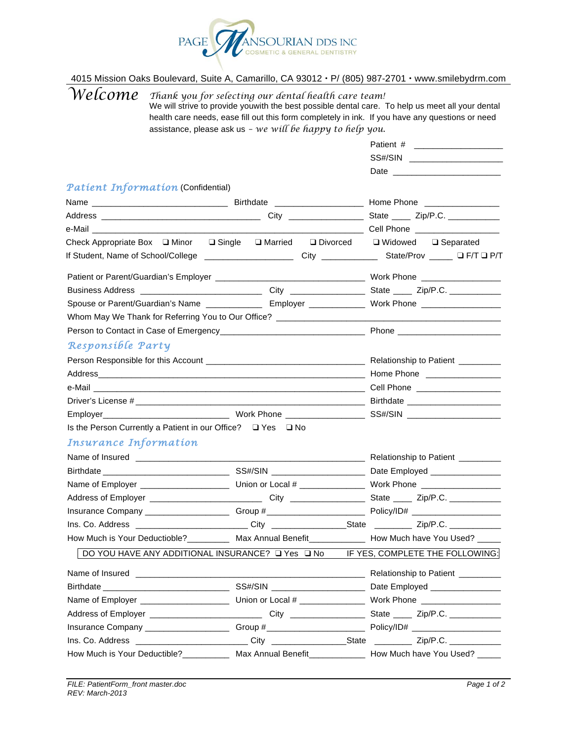

4015 Mission Oaks Boulevard, Suite A, Camarillo, CA 93012 · P/ (805) 987-2701 · www.smilebydrm.com

|  |  | $\rho$ COMP Thank you for selecting our dental health care team! |
|--|--|------------------------------------------------------------------|

 $\lq{We}{}$  *We* $\lq$ *COM* $e$  $\lq$  *Thank you for selecting our dental health care team!*<br>We will strive to provide youwith the best possible dental care. To help us meet all your dental health care needs, ease fill out this form completely in ink. If you have any questions or need assistance, please ask us *– we will be happy to help you.* 

|                                                                                                      |                                                                                                                   | Patient #                                                                        |  |
|------------------------------------------------------------------------------------------------------|-------------------------------------------------------------------------------------------------------------------|----------------------------------------------------------------------------------|--|
|                                                                                                      |                                                                                                                   | SS#/SIN ______________________                                                   |  |
|                                                                                                      |                                                                                                                   | Date <u>experience</u>                                                           |  |
| Patient Information (Confidential)                                                                   |                                                                                                                   |                                                                                  |  |
|                                                                                                      |                                                                                                                   |                                                                                  |  |
|                                                                                                      |                                                                                                                   |                                                                                  |  |
|                                                                                                      |                                                                                                                   |                                                                                  |  |
|                                                                                                      |                                                                                                                   |                                                                                  |  |
|                                                                                                      | If Student, Name of School/College ________________________City ________________State/Prov ______ Q F/T Q P/T     |                                                                                  |  |
|                                                                                                      |                                                                                                                   |                                                                                  |  |
|                                                                                                      |                                                                                                                   |                                                                                  |  |
| Spouse or Parent/Guardian's Name ________________ Employer ______________ Work Phone _______________ |                                                                                                                   |                                                                                  |  |
|                                                                                                      |                                                                                                                   |                                                                                  |  |
|                                                                                                      | Person to Contact in Case of Emergency entertainment and the Phone entertainment of Phone entertainment and the   |                                                                                  |  |
| Responsible Party                                                                                    |                                                                                                                   |                                                                                  |  |
|                                                                                                      |                                                                                                                   |                                                                                  |  |
|                                                                                                      |                                                                                                                   |                                                                                  |  |
|                                                                                                      |                                                                                                                   |                                                                                  |  |
|                                                                                                      |                                                                                                                   |                                                                                  |  |
|                                                                                                      |                                                                                                                   |                                                                                  |  |
| Is the Person Currently a Patient in our Office? □ Yes □ No                                          |                                                                                                                   |                                                                                  |  |
| <b>Insurance Information</b>                                                                         |                                                                                                                   |                                                                                  |  |
|                                                                                                      |                                                                                                                   |                                                                                  |  |
|                                                                                                      |                                                                                                                   |                                                                                  |  |
|                                                                                                      |                                                                                                                   |                                                                                  |  |
|                                                                                                      |                                                                                                                   |                                                                                  |  |
|                                                                                                      |                                                                                                                   |                                                                                  |  |
|                                                                                                      | Ins. Co. Address _______________________________City __________________State ______________Zip/P.C. _____________ |                                                                                  |  |
|                                                                                                      | How Much is Your Deductioble?___________ Max Annual Benefit_____________ How Much have You Used? ____             |                                                                                  |  |
|                                                                                                      | DO YOU HAVE ANY ADDITIONAL INSURANCE? LYES LANO IF YES, COMPLETE THE FOLLOWING:                                   |                                                                                  |  |
|                                                                                                      |                                                                                                                   |                                                                                  |  |
| <b>Birthdate Birthdate <i>Birthdate</i></b>                                                          |                                                                                                                   |                                                                                  |  |
| Name of Employer _______________________                                                             |                                                                                                                   | Union or Local # __________________ Work Phone _________________________________ |  |
|                                                                                                      |                                                                                                                   |                                                                                  |  |
|                                                                                                      |                                                                                                                   |                                                                                  |  |
|                                                                                                      | Ins. Co. Address ____________________________City __________________State ____________Zip/P.C. ____________       |                                                                                  |  |
| How Much is Your Deductible?                                                                         | Max Annual Benefit____________                                                                                    | How Much have You Used?                                                          |  |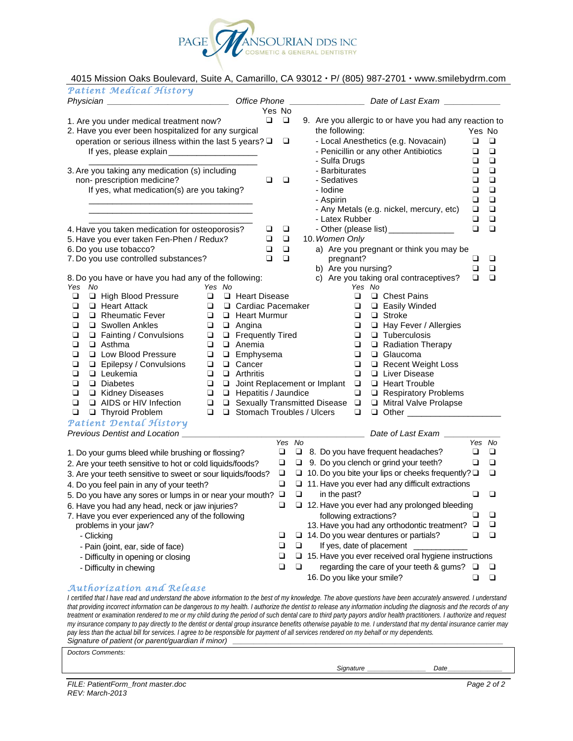

4015 Mission Oaks Boulevard, Suite A, Camarillo, CA 93012 · P/ (805) 987-2701 · www.smilebydrm.com

| Patient Medical History                                            |                               |        |        |                                                                 |             |
|--------------------------------------------------------------------|-------------------------------|--------|--------|-----------------------------------------------------------------|-------------|
|                                                                    | Office Phone                  |        |        | Date of Last Exam                                               |             |
|                                                                    |                               | Yes No |        |                                                                 |             |
| 1. Are you under medical treatment now?                            | □                             | $\Box$ |        | 9. Are you allergic to or have you had any reaction to          |             |
| 2. Have you ever been hospitalized for any surgical                |                               |        |        | the following:                                                  | Yes No      |
| operation or serious illness within the last 5 years? $\Box$       |                               | ❏      |        | - Local Anesthetics (e.g. Novacain)<br>$\Box$                   | $\Box$      |
|                                                                    |                               |        |        | - Penicillin or any other Antibiotics<br>❏                      | ❏           |
|                                                                    |                               |        |        | - Sulfa Drugs<br>❏                                              | ❏           |
| 3. Are you taking any medication (s) including                     |                               |        |        | - Barbiturates<br>❏                                             | $\Box$      |
| non- prescription medicine?                                        | ❏                             | ❏      |        | ❏<br>- Sedatives                                                | $\Box$      |
| If yes, what medication(s) are you taking?                         |                               |        |        | - Iodine<br>❏<br>❏                                              | ❏<br>$\Box$ |
|                                                                    |                               |        |        | - Aspirin<br>- Any Metals (e.g. nickel, mercury, etc)<br>$\Box$ | $\Box$      |
|                                                                    |                               |        |        | - Latex Rubber<br>❏                                             | $\Box$      |
|                                                                    | $\Box$                        | $\Box$ |        | - Other (please list) _______________<br>$\Box$                 | $\Box$      |
| 4. Have you taken medication for osteoporosis?                     | ❏                             | $\Box$ |        | 10. Women Only                                                  |             |
| 5. Have you ever taken Fen-Phen / Redux?<br>6. Do you use tobacco? | $\Box$                        | $\Box$ |        |                                                                 |             |
| 7. Do you use controlled substances?                               | $\Box$                        | ❏      |        | a) Are you pregnant or think you may be<br>pregnant?<br>❏       | ⊔           |
|                                                                    |                               |        |        | b) Are you nursing?<br>❏                                        | ❏           |
| 8. Do you have or have you had any of the following:               |                               |        |        | c) Are you taking oral contraceptives?<br>◘                     | $\Box$      |
| Yes<br>No<br>Yes No                                                |                               |        |        | Yes No                                                          |             |
| $\Box$<br>High Blood Pressure<br>$\Box$                            | □ Heart Disease               |        |        | □<br>□ Chest Pains                                              |             |
| □ Heart Attack<br>❏<br>$\Box$                                      | □ Cardiac Pacemaker           |        |        | □ Easily Winded<br>□                                            |             |
| $\Box$<br>Rheumatic Fever<br>$\Box$                                | <b>Q</b> Heart Murmur         |        |        | $\Box$<br>$\Box$ Stroke                                         |             |
| ❏<br>□ Swollen Ankles<br>$\Box$                                    | $\Box$ Angina                 |        |        | □ Hay Fever / Allergies<br>$\Box$                               |             |
| $\Box$<br>$\Box$ Fainting / Convulsions<br>$\Box$                  | <b>D</b> Frequently Tired     |        |        | $\Box$<br>$\Box$ Tuberculosis                                   |             |
| $\Box$<br>$\Box$<br>$\Box$ Asthma                                  | $\Box$ Anemia                 |        |        | $\Box$<br>Radiation Therapy                                     |             |
| ❏<br>$\Box$<br><b>Low Blood Pressure</b>                           | <b>Q</b> Emphysema            |        |        | $\Box$<br>$\Box$ Glaucoma                                       |             |
| $\Box$<br>□ Epilepsy / Convulsions<br>□                            | Q Cancer                      |        |        | $\Box$<br>Recent Weight Loss                                    |             |
| $\Box$<br>$\Box$ Leukemia<br>$\Box$                                | $\Box$ Arthritis              |        |        | ❏<br><b>Liver Disease</b>                                       |             |
| $\Box$<br>$\Box$<br>$\Box$ Diabetes                                | Joint Replacement or Implant  |        |        | $\Box$<br><b>E</b> Heart Trouble                                |             |
| ❏<br>□ Kidney Diseases<br>$\Box$                                   | $\Box$ Hepatitis / Jaundice   |        |        | $\Box$<br>Respiratory Problems                                  |             |
| AIDS or HIV Infection<br>❏                                         |                               |        |        | □ □ Sexually Transmitted Disease □<br>Mitral Valve Prolapse     |             |
| □ Thyroid Problem<br>❏                                             | □ □ Stomach Troubles / Ulcers |        |        | ❏                                                               |             |
| Patient Dental History                                             |                               |        |        |                                                                 |             |
| Previous Dentist and Location _                                    |                               |        |        | Date of Last Exam                                               |             |
|                                                                    |                               | Yes No |        |                                                                 | Yes No      |
| 1. Do your gums bleed while brushing or flossing?                  |                               | $\Box$ |        | $\Box$ 8. Do you have frequent headaches?<br>❏                  | □           |
| 2. Are your teeth sensitive to hot or cold liquids/foods?          |                               | ⊔      |        | 9. Do you clench or grind your teeth?<br>❏                      | $\Box$      |
| 3. Are your teeth sensitive to sweet or sour liquids/foods?        |                               |        |        | $\Box$ 10. Do you bite your lips or cheeks frequently? $\Box$   | □           |
| 4. Do you feel pain in any of your teeth?                          |                               | $\Box$ |        | $\Box$ 11. Have you ever had any difficult extractions          |             |
| 5. Do you have any sores or lumps in or near your mouth? $\Box$    |                               |        | $\Box$ | in the past?<br>❏                                               | ❏           |
| 6. Have you had any head, neck or jaw injuries?                    |                               | ❏      |        | 12. Have you ever had any prolonged bleeding                    |             |
| 7. Have you ever experienced any of the following                  |                               |        |        | following extractions?                                          | ⊔           |
| problems in your jaw?                                              |                               |        |        | 13. Have you had any orthodontic treatment? Q                   | ❏           |
| - Clicking                                                         |                               | ❏      |        | ❏<br>$\Box$ 14. Do you wear dentures or partials?               | □           |
| - Pain (joint, ear, side of face)                                  |                               | ❏      | ❏      | If yes, date of placement                                       |             |
| - Difficulty in opening or closing                                 |                               | ❏      |        | $\Box$ 15. Have you ever received oral hygiene instructions     |             |
| - Difficulty in chewing                                            |                               | ❏      | ❏      | regarding the care of your teeth & gums?<br>⊔                   |             |
|                                                                    |                               |        |        | 16. Do you like your smile?<br>❏                                | ❏           |
| Authorization and Release                                          |                               |        |        |                                                                 |             |
|                                                                    |                               |        |        |                                                                 |             |

*I certified that I have read and understand the above information to the best of my knowledge. The above questions have been accurately answered. I understand that providing incorrect information can be dangerous to my health. I authorize the dentist to release any information including the diagnosis and the records of any treatment or examination rendered to me or my child during the period of such dental care to third party payors and/or health practitioners. I authorize and request my insurance company to pay directly to the dentist or dental group insurance benefits otherwise payable to me. I understand that my dental insurance carrier may pay less than the actual bill for services. I agree to be responsible for payment of all services rendered on my behalf or my dependents. Signature of patient (or parent/guardian if minor) \_\_\_\_\_\_\_\_\_\_\_\_\_\_\_\_\_\_\_\_\_\_\_\_\_\_\_\_\_\_\_\_\_\_\_\_\_\_\_\_\_\_\_\_\_\_\_\_\_\_\_\_\_\_\_\_\_\_\_\_\_\_\_\_\_* 

| <b>Doctors Comments:</b>           |           |             |
|------------------------------------|-----------|-------------|
|                                    | Signature | Date        |
|                                    |           |             |
| FILE: PatientForm_front master.doc |           | Page 2 of 2 |

*REV: March-2013*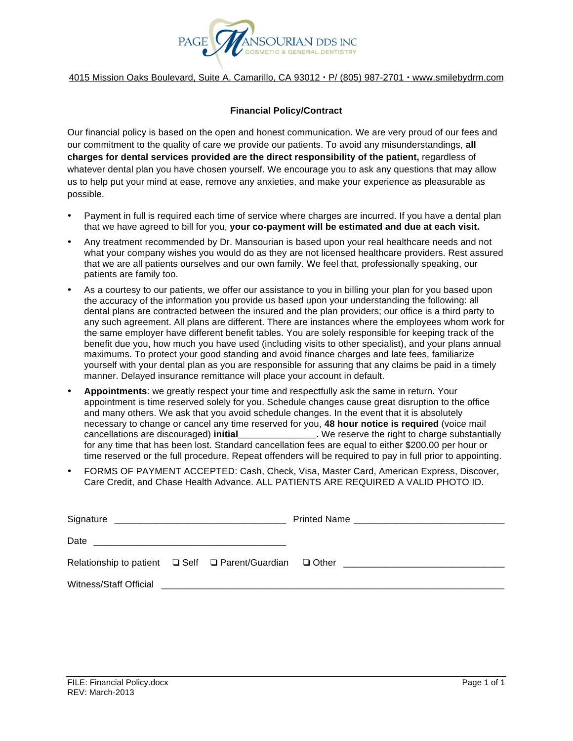

## 4015 Mission Oaks Boulevard, Suite A, Camarillo, CA 93012 · P/ (805) 987-2701 · www.smilebvdrm.com

## **Financial Policy/Contract**

Our financial policy is based on the open and honest communication. We are very proud of our fees and our commitment to the quality of care we provide our patients. To avoid any misunderstandings, **all charges for dental services provided are the direct responsibility of the patient,** regardless of whatever dental plan you have chosen yourself. We encourage you to ask any questions that may allow us to help put your mind at ease, remove any anxieties, and make your experience as pleasurable as possible.

- Payment in full is required each time of service where charges are incurred. If you have a dental plan that we have agreed to bill for you, **your co-payment will be estimated and due at each visit.**
- Any treatment recommended by Dr. Mansourian is based upon your real healthcare needs and not what your company wishes you would do as they are not licensed healthcare providers. Rest assured that we are all patients ourselves and our own family. We feel that, professionally speaking, our patients are family too.
- As a courtesy to our patients, we offer our assistance to you in billing your plan for you based upon the accuracy of the information you provide us based upon your understanding the following: all dental plans are contracted between the insured and the plan providers; our office is a third party to any such agreement. All plans are different. There are instances where the employees whom work for the same employer have different benefit tables. You are solely responsible for keeping track of the benefit due you, how much you have used (including visits to other specialist), and your plans annual maximums. To protect your good standing and avoid finance charges and late fees, familiarize yourself with your dental plan as you are responsible for assuring that any claims be paid in a timely manner. Delayed insurance remittance will place your account in default.
- **Appointments**: we greatly respect your time and respectfully ask the same in return. Your appointment is time reserved solely for you. Schedule changes cause great disruption to the office and many others. We ask that you avoid schedule changes. In the event that it is absolutely necessary to change or cancel any time reserved for you, **48 hour notice is required** (voice mail cancellations are discouraged) **initial\_\_\_\_\_\_\_\_\_\_\_\_\_\_\_.** We reserve the right to charge substantially for any time that has been lost. Standard cancellation fees are equal to either \$200.00 per hour or time reserved or the full procedure. Repeat offenders will be required to pay in full prior to appointing.
- FORMS OF PAYMENT ACCEPTED: Cash, Check, Visa, Master Card, American Express, Discover, Care Credit, and Chase Health Advance. ALL PATIENTS ARE REQUIRED A VALID PHOTO ID.

| Relationship to patient $\Box$ Self $\Box$ Parent/Guardian $\Box$ Other |  |                                                                                                                       | <u> 1980 - John Stone, Amerikaansk politiker (</u> |  |  |
|-------------------------------------------------------------------------|--|-----------------------------------------------------------------------------------------------------------------------|----------------------------------------------------|--|--|
| Witness/Staff Official                                                  |  | <u> 1990 - Jan James Sammer, margaret amerikan basar dan berasarkan perangan dalam perangan dan berasarkan perang</u> |                                                    |  |  |